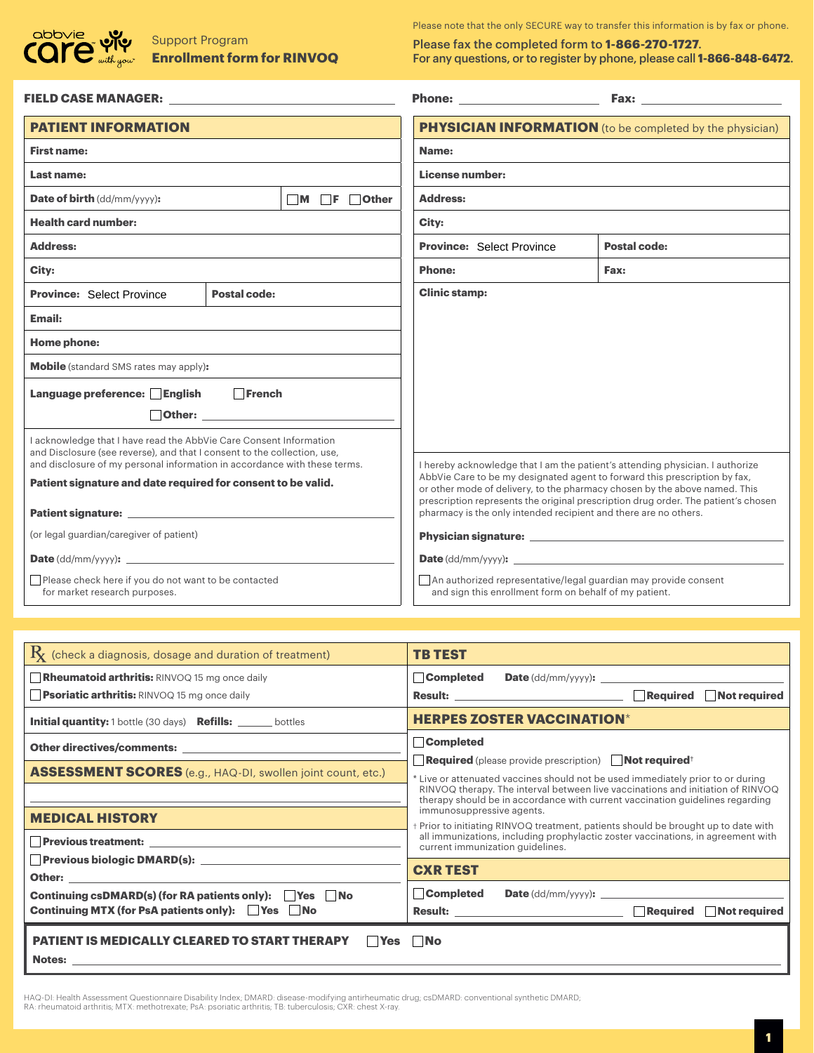

# Support Program

Please note that the only SECURE way to transfer this information is by fax or phone.

Please fax the completed form to **1-866-270-1727**. **Enrollment form for RINVOQ** For any questions, or to register by phone, please call **1-866-848-6472**.

| FIELD CASE MANAGER: New York Street, New York Street, New York Street, New York Street, New York Street, New York Street, New York Street, New York Street, New York Street, New York Street, New York Street, New York Street |  |                                         | Phone: New York Phone State Street (1989)                                                                                                                |                                                                                    |
|--------------------------------------------------------------------------------------------------------------------------------------------------------------------------------------------------------------------------------|--|-----------------------------------------|----------------------------------------------------------------------------------------------------------------------------------------------------------|------------------------------------------------------------------------------------|
| <b>PATIENT INFORMATION</b>                                                                                                                                                                                                     |  |                                         | <b>PHYSICIAN INFORMATION</b> (to be completed by the physician)                                                                                          |                                                                                    |
| <b>First name:</b>                                                                                                                                                                                                             |  |                                         | Name:                                                                                                                                                    |                                                                                    |
| <b>Last name:</b>                                                                                                                                                                                                              |  |                                         | License number:                                                                                                                                          |                                                                                    |
| <b>Date of birth</b> (dd/mm/yyyy):                                                                                                                                                                                             |  | $\blacksquare$ M F $\blacksquare$ Other | <b>Address:</b>                                                                                                                                          |                                                                                    |
| <b>Health card number:</b>                                                                                                                                                                                                     |  |                                         | City:                                                                                                                                                    |                                                                                    |
| Address:                                                                                                                                                                                                                       |  |                                         | <b>Province: Select Province</b>                                                                                                                         | Postal code:                                                                       |
| City:                                                                                                                                                                                                                          |  |                                         | <b>Phone:</b>                                                                                                                                            | Fax:                                                                               |
| <b>Clinic stamp:</b><br><b>Postal code:</b><br><b>Province: Select Province</b>                                                                                                                                                |  |                                         |                                                                                                                                                          |                                                                                    |
| Email:                                                                                                                                                                                                                         |  |                                         |                                                                                                                                                          |                                                                                    |
| Home phone:                                                                                                                                                                                                                    |  |                                         |                                                                                                                                                          |                                                                                    |
| <b>Mobile</b> (standard SMS rates may apply):                                                                                                                                                                                  |  |                                         |                                                                                                                                                          |                                                                                    |
| $\Box$ French<br>Language preference: English                                                                                                                                                                                  |  |                                         |                                                                                                                                                          |                                                                                    |
| <b>Other: Communication</b>                                                                                                                                                                                                    |  |                                         |                                                                                                                                                          |                                                                                    |
| I acknowledge that I have read the AbbVie Care Consent Information                                                                                                                                                             |  |                                         |                                                                                                                                                          |                                                                                    |
| and Disclosure (see reverse), and that I consent to the collection, use,<br>and disclosure of my personal information in accordance with these terms.                                                                          |  |                                         | I hereby acknowledge that I am the patient's attending physician. I authorize                                                                            |                                                                                    |
| Patient signature and date required for consent to be valid.                                                                                                                                                                   |  |                                         | AbbVie Care to be my designated agent to forward this prescription by fax,<br>or other mode of delivery, to the pharmacy chosen by the above named. This |                                                                                    |
|                                                                                                                                                                                                                                |  |                                         | pharmacy is the only intended recipient and there are no others.                                                                                         | prescription represents the original prescription drug order. The patient's chosen |
| (or legal guardian/caregiver of patient)                                                                                                                                                                                       |  |                                         |                                                                                                                                                          |                                                                                    |
|                                                                                                                                                                                                                                |  |                                         |                                                                                                                                                          |                                                                                    |
| Please check here if you do not want to be contacted<br>for market research purposes.                                                                                                                                          |  |                                         | An authorized representative/legal guardian may provide consent<br>and sign this enrollment form on behalf of my patient.                                |                                                                                    |

| $\mathrm{R}_{\!X}$ (check a diagnosis, dosage and duration of treatment)                                                                                                                                                            | TB TEST                                                                                                    |  |  |  |  |
|-------------------------------------------------------------------------------------------------------------------------------------------------------------------------------------------------------------------------------------|------------------------------------------------------------------------------------------------------------|--|--|--|--|
| <b>Rheumatoid arthritis:</b> RINVOQ 15 mg once daily                                                                                                                                                                                | Completed<br><b>Date</b> $(dd/mm/yyyy)$ : $\qquad \qquad \qquad$                                           |  |  |  |  |
| <b>Psoriatic arthritis:</b> RINVOQ 15 mg once daily                                                                                                                                                                                 |                                                                                                            |  |  |  |  |
| <b>Initial quantity:</b> 1 bottle (30 days) <b>Refills:</b> ______ bottles                                                                                                                                                          | <b>HERPES ZOSTER VACCINATION*</b>                                                                          |  |  |  |  |
|                                                                                                                                                                                                                                     | Completed                                                                                                  |  |  |  |  |
|                                                                                                                                                                                                                                     | <b>Required</b> (please provide prescription)   <b>Not required</b> <sup>+</sup>                           |  |  |  |  |
| ASSESSMENT SCORES (e.g., HAQ-DI, swollen joint count, etc.)                                                                                                                                                                         | * Live or attenuated vaccines should not be used immediately prior to or during                            |  |  |  |  |
|                                                                                                                                                                                                                                     | RINVOQ therapy. The interval between live vaccinations and initiation of RINVOQ                            |  |  |  |  |
|                                                                                                                                                                                                                                     | therapy should be in accordance with current vaccination guidelines regarding<br>immunosuppressive agents. |  |  |  |  |
| <b>MEDICAL HISTORY</b>                                                                                                                                                                                                              | Prior to initiating RINVOQ treatment, patients should be brought up to date with                           |  |  |  |  |
|                                                                                                                                                                                                                                     | all immunizations, including prophylactic zoster vaccinations, in agreement with                           |  |  |  |  |
|                                                                                                                                                                                                                                     | current immunization guidelines.                                                                           |  |  |  |  |
| <b>Other:</b> and the contract of the contract of the contract of the contract of the contract of the contract of the contract of the contract of the contract of the contract of the contract of the contract of the contract of t | <b>CXR TEST</b>                                                                                            |  |  |  |  |
| <b>Continuing csDMARD(s) (for RA patients only): Yes No</b>                                                                                                                                                                         | Completed                                                                                                  |  |  |  |  |
| Continuing MTX (for PsA patients only):   Yes   No                                                                                                                                                                                  |                                                                                                            |  |  |  |  |
| <b>PATIENT IS MEDICALLY CLEARED TO START THERAPY</b><br>l No<br>l lYes                                                                                                                                                              |                                                                                                            |  |  |  |  |
| Notes: the contract of the contract of the contract of the contract of the contract of the contract of the contract of the contract of the contract of the contract of the contract of the contract of the contract of the con      |                                                                                                            |  |  |  |  |
|                                                                                                                                                                                                                                     |                                                                                                            |  |  |  |  |

HAQ-DI: Health Assessment Questionnaire Disability Index; DMARD: disease-modifying antirheumatic drug; csDMARD: conventional synthetic DMARD;<br>RA: rheumatoid arthritis; MTX: methotrexate; PsA: psoriatic arthritis; TB: tuber